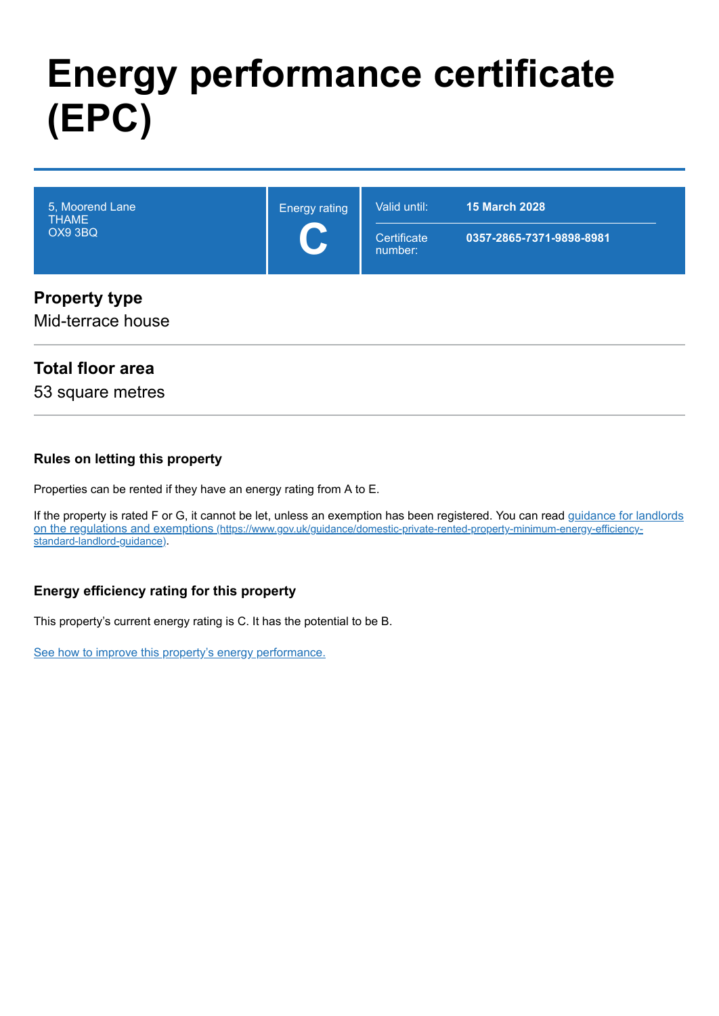# **Energy performance certificate (EPC)**

| 5, Moorend Lane<br><b>THAME</b><br>OX9 3BQ | <b>Energy rating</b><br>$\blacktriangleright$ | Valid until:<br>Certificate<br>number: | <b>15 March 2028</b><br>0357-2865-7371-9898-8981 |
|--------------------------------------------|-----------------------------------------------|----------------------------------------|--------------------------------------------------|
| <b>Property type</b><br>Mid-terrace house  |                                               |                                        |                                                  |

### **Total floor area**

53 square metres

#### **Rules on letting this property**

Properties can be rented if they have an energy rating from A to E.

[If the property is rated F or G, it cannot be let, unless an exemption has been registered. You can read guidance for landlords](https://www.gov.uk/guidance/domestic-private-rented-property-minimum-energy-efficiency-standard-landlord-guidance) on the regulations and exemptions (https://www.gov.uk/guidance/domestic-private-rented-property-minimum-energy-efficiencystandard-landlord-guidance).

### **Energy efficiency rating for this property**

This property's current energy rating is C. It has the potential to be B.

[See how to improve this property's energy performance.](#page-3-0)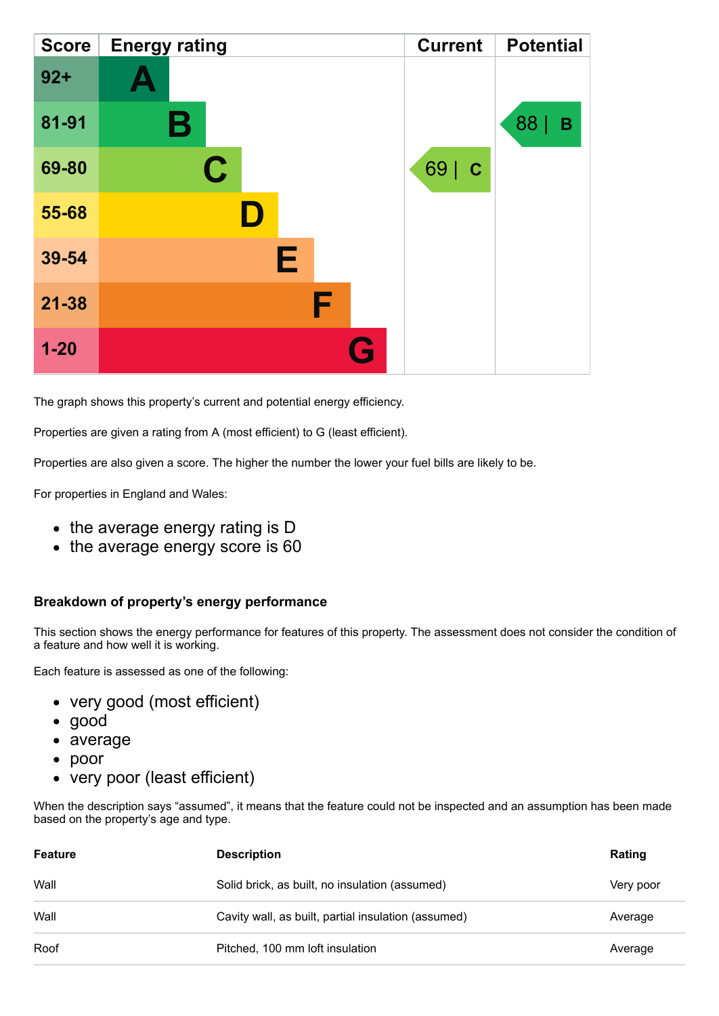| <b>Score</b> | <b>Energy rating</b> | <b>Current</b> | <b>Potential</b> |
|--------------|----------------------|----------------|------------------|
| $92 +$       |                      |                |                  |
| 81-91        | Β                    |                | 88<br>В          |
| 69-80        | $\mathbf C$          | 69   C         |                  |
| 55-68        |                      |                |                  |
| 39-54        | Е                    |                |                  |
| $21 - 38$    | F                    |                |                  |
| $1 - 20$     | Q                    |                |                  |

The graph shows this property's current and potential energy efficiency.

Properties are given a rating from A (most efficient) to G (least efficient).

Properties are also given a score. The higher the number the lower your fuel bills are likely to be.

For properties in England and Wales:

- the average energy rating is D
- the average energy score is 60

#### **Breakdown of property's energy performance**

This section shows the energy performance for features of this property. The assessment does not consider the condition of a feature and how well it is working.

Each feature is assessed as one of the following:

- very good (most efficient)
- good
- average
- poor
- very poor (least efficient)

When the description says "assumed", it means that the feature could not be inspected and an assumption has been made based on the property's age and type.

| Feature | <b>Description</b>                                  | Rating    |
|---------|-----------------------------------------------------|-----------|
| Wall    | Solid brick, as built, no insulation (assumed)      | Very poor |
| Wall    | Cavity wall, as built, partial insulation (assumed) | Average   |
| Roof    | Pitched, 100 mm loft insulation                     | Average   |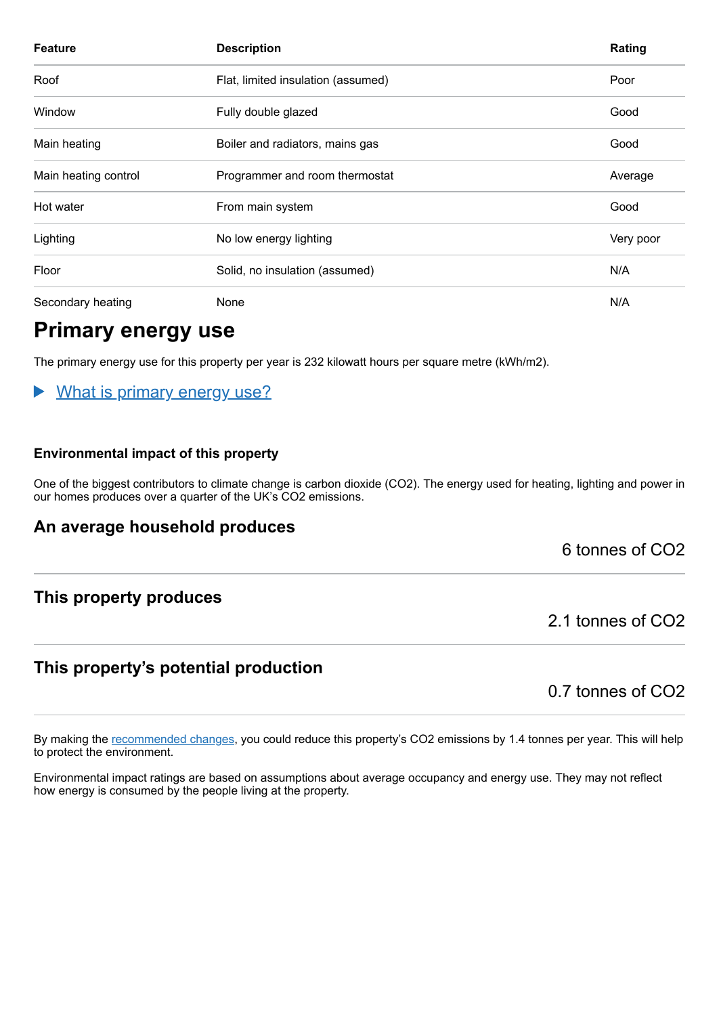| <b>Feature</b>       | <b>Description</b>                  | Rating  |
|----------------------|-------------------------------------|---------|
| Roof                 | Flat, limited insulation (assumed)  | Poor    |
| Window               | Fully double glazed                 | Good    |
| Main heating         | Boiler and radiators, mains gas     | Good    |
| Main heating control | Programmer and room thermostat      | Average |
| Hot water            | From main system                    | Good    |
| Lighting             | No low energy lighting<br>Very poor |         |
| Floor                | Solid, no insulation (assumed)      | N/A     |
| Secondary heating    | None                                | N/A     |

### **Primary energy use**

The primary energy use for this property per year is 232 kilowatt hours per square metre (kWh/m2).

#### What is primary energy use?  $\blacktriangleright$

#### **Environmental impact of this property**

One of the biggest contributors to climate change is carbon dioxide (CO2). The energy used for heating, lighting and power in our homes produces over a quarter of the UK's CO2 emissions.

### **An average household produces**

6 tonnes of CO2

### **This property produces**

### **This property's potential production**

0.7 tonnes of CO2

2.1 tonnes of CO2

By making the [recommended changes,](#page-3-0) you could reduce this property's CO2 emissions by 1.4 tonnes per year. This will help to protect the environment.

Environmental impact ratings are based on assumptions about average occupancy and energy use. They may not reflect how energy is consumed by the people living at the property.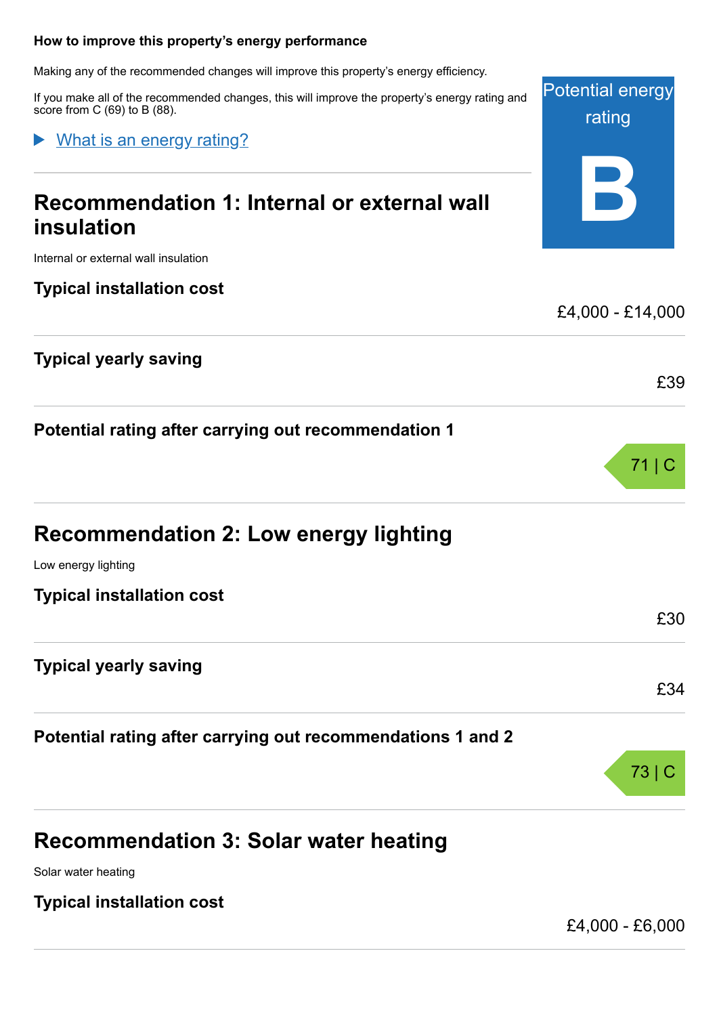#### <span id="page-3-0"></span>**How to improve this property's energy performance**

Making any of the recommended changes will improve this property's energy efficiency.

If you make all of the recommended changes, this will improve the property's energy rating and score from C (69) to B (88).

#### What is an energy rating?  $\blacktriangleright$

### **Recommendation 1: Internal or external wall insulation**

Internal or external wall insulation

### **Typical installation cost**

### **Typ**

**Potential rating after carrying out recommendation 1**

| <b>Recommendation 2: Low energy lighting</b> |  |  |
|----------------------------------------------|--|--|
|----------------------------------------------|--|--|

Low  $\epsilon$ 

**Typ** 

### **Typ**

**Potential rating after carrying out recommendations 1 and 2**

### **Recommendation 3: Solar water heating**

Solar water heating

**Typical installation cost**

£4,000 - £6,000

|                                                          | £4,000 - £14,000 |
|----------------------------------------------------------|------------------|
| ical yearly saving                                       |                  |
|                                                          | £39              |
| ential rating after carrying out recommendation 1        |                  |
|                                                          | 71 C             |
| commendation 2: Low energy lighting                      |                  |
| energy lighting                                          |                  |
| ical installation cost                                   |                  |
|                                                          | £30              |
| ical yearly saving                                       |                  |
|                                                          | £34              |
| ential rating after carrying out recommendations 1 and 2 |                  |
|                                                          | 73 C             |
|                                                          |                  |

Potential energy rating **B**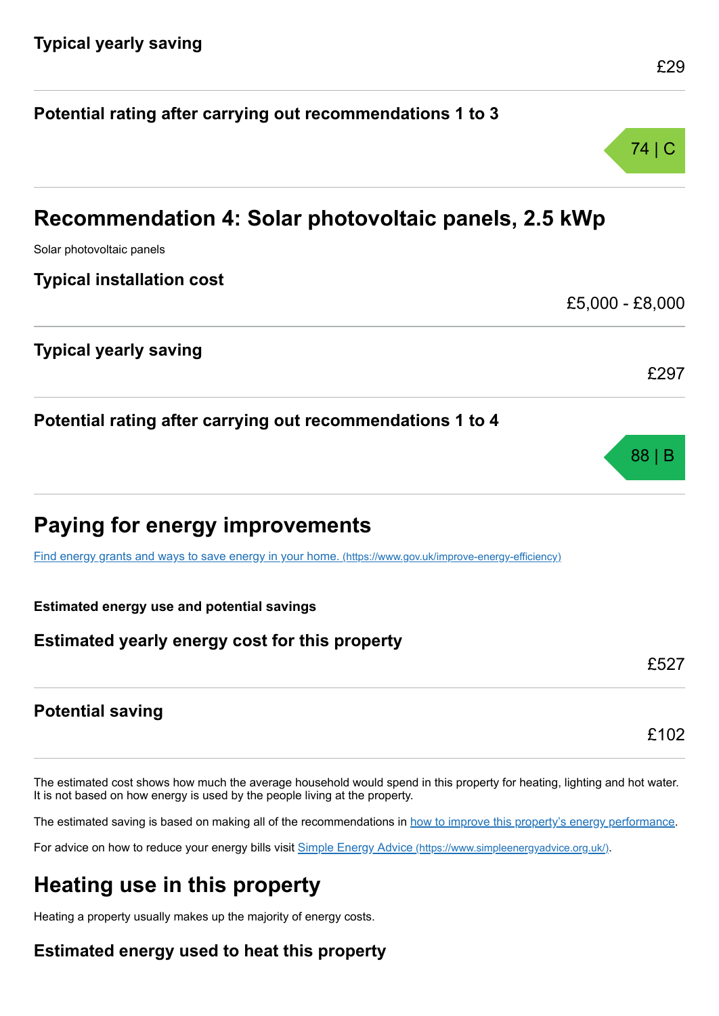|                                                                                                         | 74   C          |  |  |
|---------------------------------------------------------------------------------------------------------|-----------------|--|--|
| Recommendation 4: Solar photovoltaic panels, 2.5 kWp                                                    |                 |  |  |
| Solar photovoltaic panels                                                                               |                 |  |  |
| <b>Typical installation cost</b>                                                                        |                 |  |  |
|                                                                                                         | £5,000 - £8,000 |  |  |
| <b>Typical yearly saving</b>                                                                            | £297            |  |  |
|                                                                                                         |                 |  |  |
| Potential rating after carrying out recommendations 1 to 4                                              |                 |  |  |
|                                                                                                         | 88              |  |  |
| Paying for energy improvements                                                                          |                 |  |  |
| Find energy grants and ways to save energy in your home. (https://www.gov.uk/improve-energy-efficiency) |                 |  |  |
| <b>Estimated energy use and potential savings</b>                                                       |                 |  |  |
| Estimated yearly energy cost for this property                                                          |                 |  |  |
|                                                                                                         | £527            |  |  |
| <b>Potential saving</b>                                                                                 |                 |  |  |

**Potential rating after carrying out recommendations 1 to 3**

The estimated cost shows how much the average household would spend in this property for heating, lighting and hot water. It is not based on how energy is used by the people living at the property.

The estimated saving is based on making all of the recommendations in [how to improve this property's energy performance.](#page-3-0)

For advice on how to reduce your energy bills visit Simple Energy Advice [\(https://www.simpleenergyadvice.org.uk/\)](https://www.simpleenergyadvice.org.uk/).

## **Heating use in this property**

Heating a property usually makes up the majority of energy costs.

### **Estimated energy used to heat this property**

£29

£102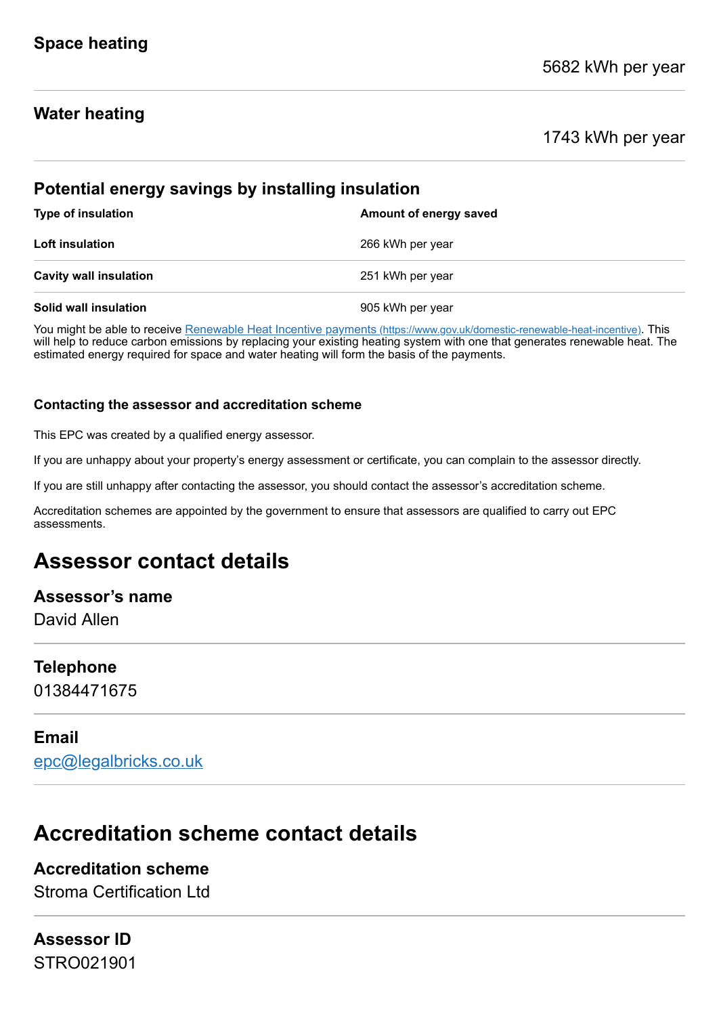### **Water heating**

1743 kWh per year

| Potential energy savings by installing insulation |                        |  |
|---------------------------------------------------|------------------------|--|
| <b>Type of insulation</b>                         | Amount of energy saved |  |
| <b>Loft insulation</b>                            | 266 kWh per year       |  |
| <b>Cavity wall insulation</b>                     | 251 kWh per year       |  |
| Solid wall insulation                             | 905 kWh per year       |  |

You might be able to receive Renewable Heat Incentive payments [\(https://www.gov.uk/domestic-renewable-heat-incentive\)](https://www.gov.uk/domestic-renewable-heat-incentive). This will help to reduce carbon emissions by replacing your existing heating system with one that generates renewable heat. The estimated energy required for space and water heating will form the basis of the payments.

#### **Contacting the assessor and accreditation scheme**

This EPC was created by a qualified energy assessor.

If you are unhappy about your property's energy assessment or certificate, you can complain to the assessor directly.

If you are still unhappy after contacting the assessor, you should contact the assessor's accreditation scheme.

Accreditation schemes are appointed by the government to ensure that assessors are qualified to carry out EPC assessments.

### **Assessor contact details**

**Assessor's name**

David Allen

### **Telephone**

01384471675

### **Email**

[epc@legalbricks.co.uk](mailto:epc@legalbricks.co.uk)

### **Accreditation scheme contact details**

**Accreditation scheme**

Stroma Certification Ltd

# **Assessor ID**

STRO021901